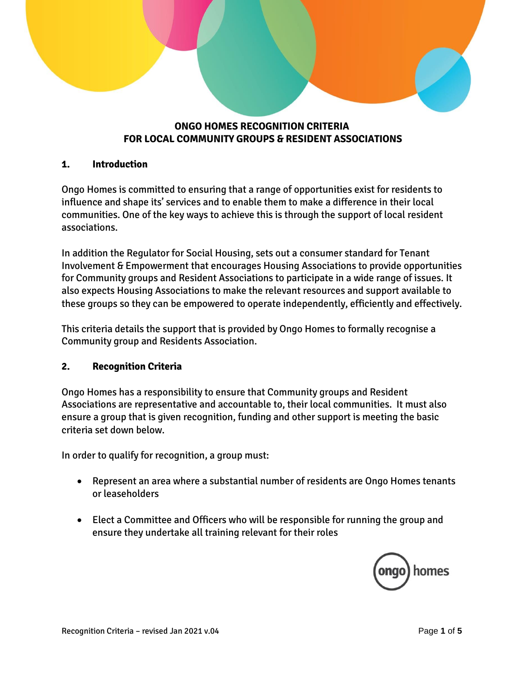# **ONGO HOMES RECOGNITION CRITERIA FOR LOCAL COMMUNITY GROUPS & RESIDENT ASSOCIATIONS**

## **1. Introduction**

Ongo Homes is committed to ensuring that a range of opportunities exist for residents to influence and shape its' services and to enable them to make a difference in their local communities. One of the key ways to achieve this is through the support of local resident associations.

In addition the Regulator for Social Housing, sets out a consumer standard for Tenant Involvement & Empowerment that encourages Housing Associations to provide opportunities for Community groups and Resident Associations to participate in a wide range of issues. It also expects Housing Associations to make the relevant resources and support available to these groups so they can be empowered to operate independently, efficiently and effectively.

This criteria details the support that is provided by Ongo Homes to formally recognise a Community group and Residents Association.

### **2. Recognition Criteria**

Ongo Homes has a responsibility to ensure that Community groups and Resident Associations are representative and accountable to, their local communities. It must also ensure a group that is given recognition, funding and other support is meeting the basic criteria set down below.

In order to qualify for recognition, a group must:

- Represent an area where a substantial number of residents are Ongo Homes tenants or leaseholders
- Elect a Committee and Officers who will be responsible for running the group and ensure they undertake all training relevant for their roles

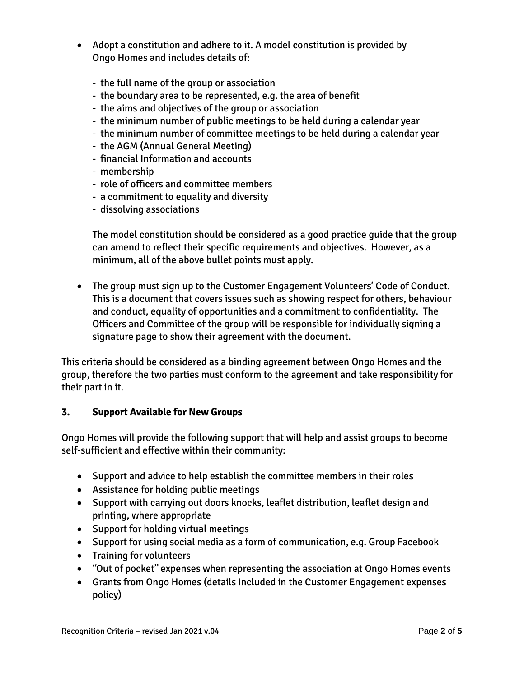- Adopt a constitution and adhere to it. A model constitution is provided by Ongo Homes and includes details of:
	- the full name of the group or association
	- the boundary area to be represented, e.g. the area of benefit
	- the aims and objectives of the group or association
	- the minimum number of public meetings to be held during a calendar year
	- the minimum number of committee meetings to be held during a calendar year
	- the AGM (Annual General Meeting)
	- financial Information and accounts
	- membership
	- role of officers and committee members
	- a commitment to equality and diversity
	- dissolving associations

The model constitution should be considered as a good practice guide that the group can amend to reflect their specific requirements and objectives. However, as a minimum, all of the above bullet points must apply.

 The group must sign up to the Customer Engagement Volunteers' Code of Conduct. This is a document that covers issues such as showing respect for others, behaviour and conduct, equality of opportunities and a commitment to confidentiality. The Officers and Committee of the group will be responsible for individually signing a signature page to show their agreement with the document.

This criteria should be considered as a binding agreement between Ongo Homes and the group, therefore the two parties must conform to the agreement and take responsibility for their part in it.

### **3. Support Available for New Groups**

Ongo Homes will provide the following support that will help and assist groups to become self-sufficient and effective within their community:

- Support and advice to help establish the committee members in their roles
- Assistance for holding public meetings
- Support with carrying out doors knocks, leaflet distribution, leaflet design and printing, where appropriate
- Support for holding virtual meetings
- Support for using social media as a form of communication, e.g. Group Facebook
- Training for volunteers
- "Out of pocket" expenses when representing the association at Ongo Homes events
- Grants from Ongo Homes (details included in the Customer Engagement expenses policy)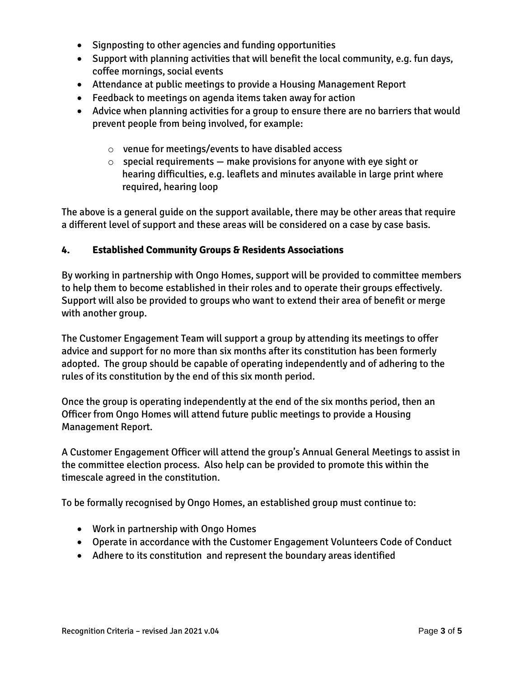- Signposting to other agencies and funding opportunities
- Support with planning activities that will benefit the local community, e.g. fun days, coffee mornings, social events
- Attendance at public meetings to provide a Housing Management Report
- Feedback to meetings on agenda items taken away for action
- Advice when planning activities for a group to ensure there are no barriers that would prevent people from being involved, for example:
	- o venue for meetings/events to have disabled access
	- $\circ$  special requirements  $-$  make provisions for anyone with eye sight or hearing difficulties, e.g. leaflets and minutes available in large print where required, hearing loop

The above is a general guide on the support available, there may be other areas that require a different level of support and these areas will be considered on a case by case basis.

#### **4. Established Community Groups & Residents Associations**

By working in partnership with Ongo Homes, support will be provided to committee members to help them to become established in their roles and to operate their groups effectively. Support will also be provided to groups who want to extend their area of benefit or merge with another group.

The Customer Engagement Team will support a group by attending its meetings to offer advice and support for no more than six months after its constitution has been formerly adopted. The group should be capable of operating independently and of adhering to the rules of its constitution by the end of this six month period.

Once the group is operating independently at the end of the six months period, then an Officer from Ongo Homes will attend future public meetings to provide a Housing Management Report.

A Customer Engagement Officer will attend the group's Annual General Meetings to assist in the committee election process. Also help can be provided to promote this within the timescale agreed in the constitution.

To be formally recognised by Ongo Homes, an established group must continue to:

- Work in partnership with Ongo Homes
- Operate in accordance with the Customer Engagement Volunteers Code of Conduct
- Adhere to its constitution and represent the boundary areas identified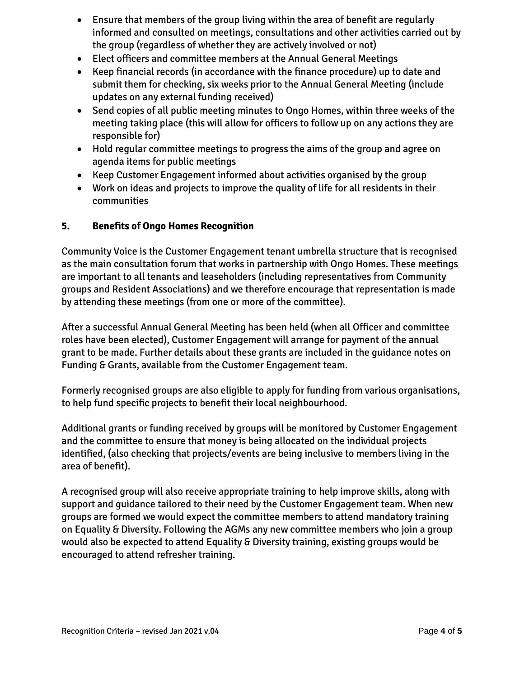- Ensure that members of the group living within the area of benefit are regularly informed and consulted on meetings, consultations and other activities carried out by the group (regardless of whether they are actively involved or not)
- Elect officers and committee members at the Annual General Meetings
- Keep financial records (in accordance with the finance procedure) up to date and submit them for checking, six weeks prior to the Annual General Meeting (include updates on any external funding received)
- Send copies of all public meeting minutes to Ongo Homes, within three weeks of the meeting taking place (this will allow for officers to follow up on any actions they are responsible for)
- Hold regular committee meetings to progress the aims of the group and agree on agenda items for public meetings
- Keep Customer Engagement informed about activities organised by the group
- Work on ideas and projects to improve the quality of life for all residents in their communities

### **5. Benefits of Ongo Homes Recognition**

Community Voice is the Customer Engagement tenant umbrella structure that is recognised as the main consultation forum that works in partnership with Ongo Homes. These meetings are important to all tenants and leaseholders (including representatives from Community groups and Resident Associations) and we therefore encourage that representation is made by attending these meetings (from one or more of the committee).

After a successful Annual General Meeting has been held (when all Officer and committee roles have been elected), Customer Engagement will arrange for payment of the annual grant to be made. Further details about these grants are included in the guidance notes on Funding & Grants, available from the Customer Engagement team.

Formerly recognised groups are also eligible to apply for funding from various organisations, to help fund specific projects to benefit their local neighbourhood.

Additional grants or funding received by groups will be monitored by Customer Engagement and the committee to ensure that money is being allocated on the individual projects identified, (also checking that projects/events are being inclusive to members living in the area of benefit).

A recognised group will also receive appropriate training to help improve skills, along with support and guidance tailored to their need by the Customer Engagement team. When new groups are formed we would expect the committee members to attend mandatory training on Equality & Diversity. Following the AGMs any new committee members who join a group would also be expected to attend Equality & Diversity training, existing groups would be encouraged to attend refresher training.